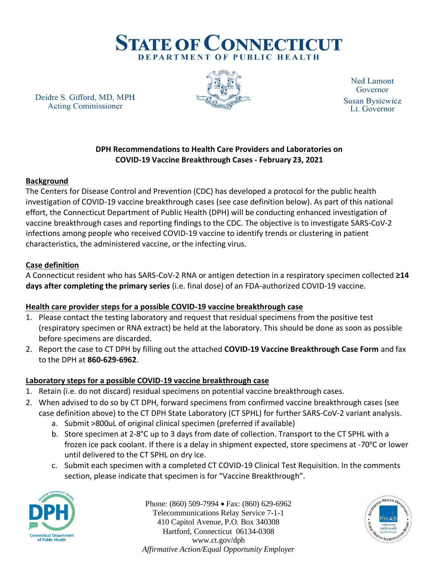

Deidre S. Gifford, MD, MPH **Acting Commissioner** 



**Ned Lamont** Governor **Susan Bysiewicz** Lt. Governor

### **DPH Recommendations to Health Care Providers and Laboratories on COVID-19 Vaccine Breakthrough Cases - February 23, 2021**

## **Background**

The Centers for Disease Control and Prevention (CDC) has developed a protocol for the public health investigation of COVID-19 vaccine breakthrough cases (see case definition below). As part of this national effort, the Connecticut Department of Public Health (DPH) will be conducting enhanced investigation of vaccine breakthrough cases and reporting findings to the CDC. The objective is to investigate SARS-CoV-2 infections among people who received COVID-19 vaccine to identify trends or clustering in patient characteristics, the administered vaccine, or the infecting virus.

#### **Case definition**

A Connecticut resident who has SARS-CoV-2 RNA or antigen detection in a respiratory specimen collected **≥14 days after completing the primary series** (i.e. final dose) of an FDA-authorized COVID-19 vaccine.

## **Health care provider steps for a possible COVID-19 vaccine breakthrough case**

- 1. Please contact the testing laboratory and request that residual specimens from the positive test (respiratory specimen or RNA extract) be held at the laboratory. This should be done as soon as possible before specimens are discarded.
- 2. Report the case to CT DPH by filling out the attached **COVID-19 Vaccine Breakthrough Case Form** and fax to the DPH at **860-629-6962**.

# **Laboratory steps for a possible COVID-19 vaccine breakthrough case**

- 1. Retain (i.e. do not discard) residual specimens on potential vaccine breakthrough cases.
- 2. When advised to do so by CT DPH, forward specimens from confirmed vaccine breakthrough cases (see case definition above) to the CT DPH State Laboratory (CT SPHL) for further SARS-CoV-2 variant analysis.
	- a. Submit >800uL of original clinical specimen (preferred if available)
	- b. Store specimen at 2-8°C up to 3 days from date of collection. Transport to the CT SPHL with a frozen ice pack coolant. If there is a delay in shipment expected, store specimens at -70 $\degree$ C or lower until delivered to the CT SPHL on dry ice.
	- c. Submit each specimen with a completed CT COVID-19 Clinical Test Requisition. In the comments section, please indicate that specimen is for "Vaccine Breakthrough".



Phone: (860) 509-7994 • Fax: (860) 629-6962 Telecommunications Relay Service 7-1-1 410 Capitol Avenue, P.O. Box 340308 Hartford, Connecticut 06134-0308 www.ct.gov/dph *Affirmative Action/Equal Opportunity Employer*